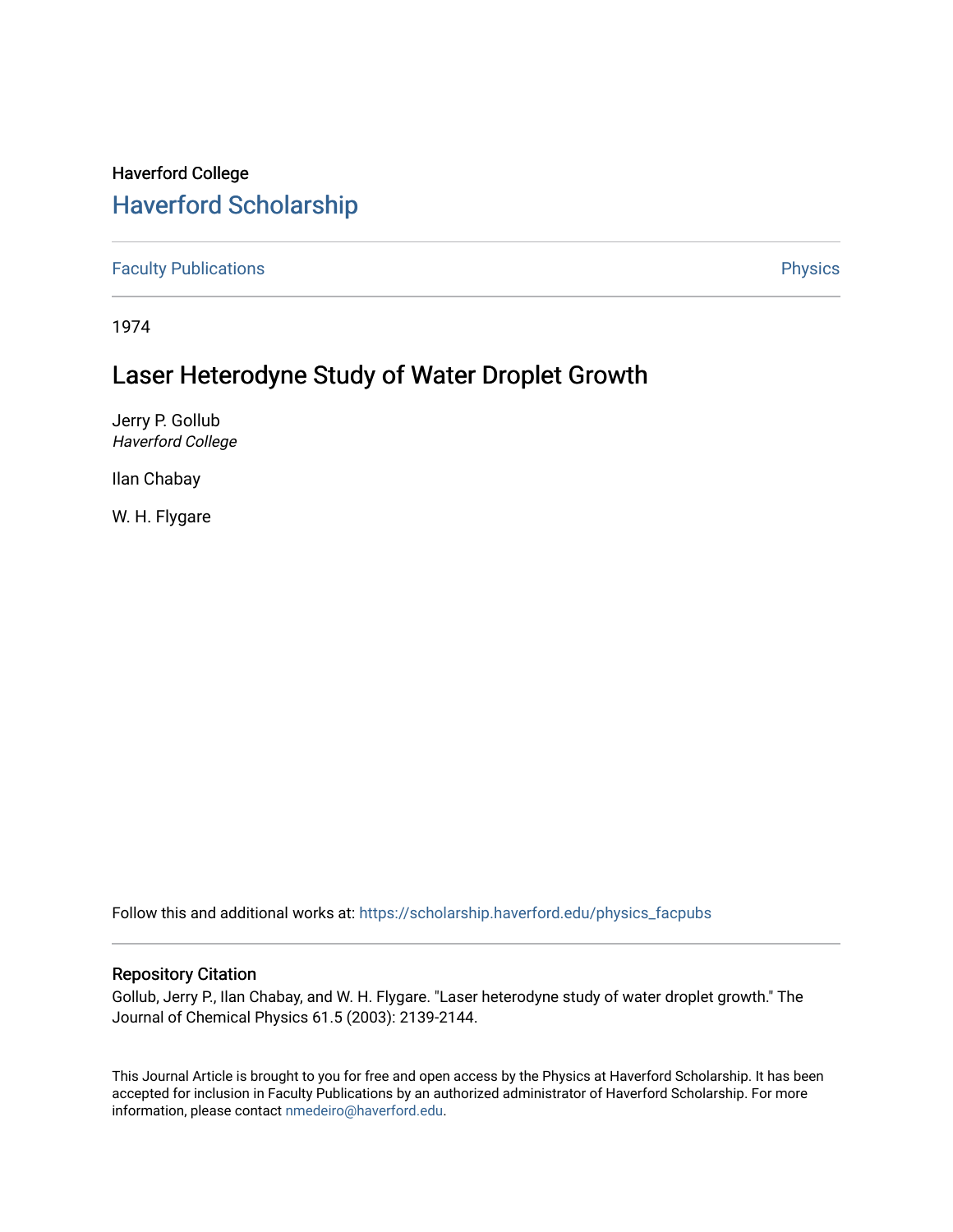## Haverford College [Haverford Scholarship](https://scholarship.haverford.edu/)

[Faculty Publications](https://scholarship.haverford.edu/physics_facpubs) **Physics** 

1974

# Laser Heterodyne Study of Water Droplet Growth

Jerry P. Gollub Haverford College

Ilan Chabay

W. H. Flygare

Follow this and additional works at: [https://scholarship.haverford.edu/physics\\_facpubs](https://scholarship.haverford.edu/physics_facpubs?utm_source=scholarship.haverford.edu%2Fphysics_facpubs%2F249&utm_medium=PDF&utm_campaign=PDFCoverPages) 

### Repository Citation

Gollub, Jerry P., Ilan Chabay, and W. H. Flygare. "Laser heterodyne study of water droplet growth." The Journal of Chemical Physics 61.5 (2003): 2139-2144.

This Journal Article is brought to you for free and open access by the Physics at Haverford Scholarship. It has been accepted for inclusion in Faculty Publications by an authorized administrator of Haverford Scholarship. For more information, please contact [nmedeiro@haverford.edu.](mailto:nmedeiro@haverford.edu)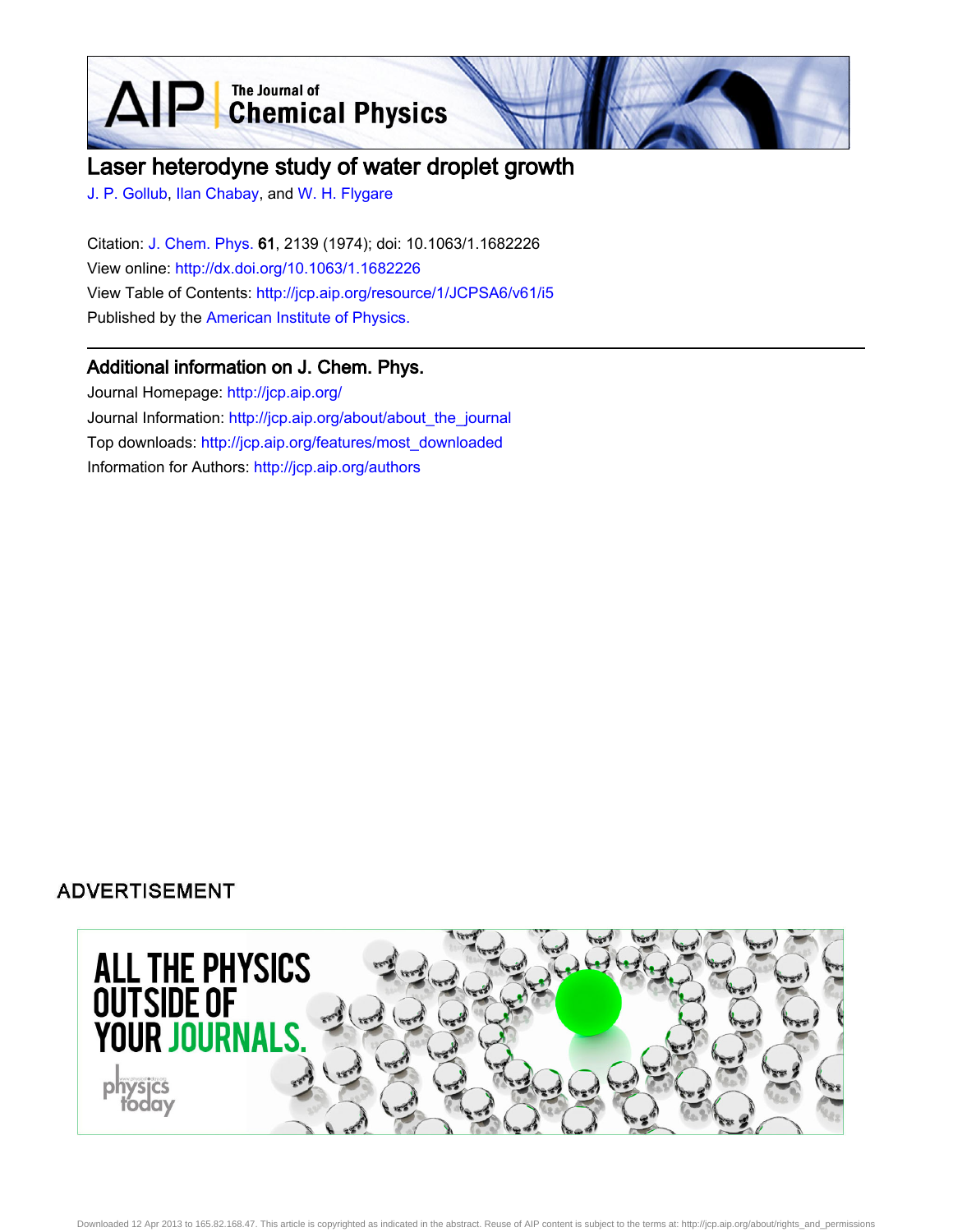**D** The Journal of Chemical Physics

## Laser heterodyne study of water droplet growth

[J. P. Gollub,](http://jcp.aip.org/search?sortby=newestdate&q=&searchzone=2&searchtype=searchin&faceted=faceted&key=AIP_ALL&possible1=J. P. Gollub&possible1zone=author&alias=&displayid=AIP&ver=pdfcov) [Ilan Chabay,](http://jcp.aip.org/search?sortby=newestdate&q=&searchzone=2&searchtype=searchin&faceted=faceted&key=AIP_ALL&possible1=Ilan Chabay&possible1zone=author&alias=&displayid=AIP&ver=pdfcov) and [W. H. Flygare](http://jcp.aip.org/search?sortby=newestdate&q=&searchzone=2&searchtype=searchin&faceted=faceted&key=AIP_ALL&possible1=W. H. Flygare&possible1zone=author&alias=&displayid=AIP&ver=pdfcov)

 $\Delta \mathbf{F}$ 

Citation: [J. Chem. Phys. 6](http://jcp.aip.org/?ver=pdfcov)1, 2139 (1974); doi: 10.1063/1.1682226 View online: [http://dx.doi.org/10.1063/1.1682226](http://link.aip.org/link/doi/10.1063/1.1682226?ver=pdfcov) View Table of Contents: [http://jcp.aip.org/resource/1/JCPSA6/v61/i5](http://jcp.aip.org/resource/1/JCPSA6/v61/i5?ver=pdfcov) Published by the [American Institute of Physics.](http://www.aip.org/?ver=pdfcov)

### Additional information on J. Chem. Phys.

Journal Homepage: [http://jcp.aip.org/](http://jcp.aip.org/?ver=pdfcov) Journal Information: [http://jcp.aip.org/about/about\\_the\\_journal](http://jcp.aip.org/about/about_the_journal?ver=pdfcov) Top downloads: [http://jcp.aip.org/features/most\\_downloaded](http://jcp.aip.org/features/most_downloaded?ver=pdfcov) Information for Authors: [http://jcp.aip.org/authors](http://jcp.aip.org/authors?ver=pdfcov)

### **ADVERTISEMENT**

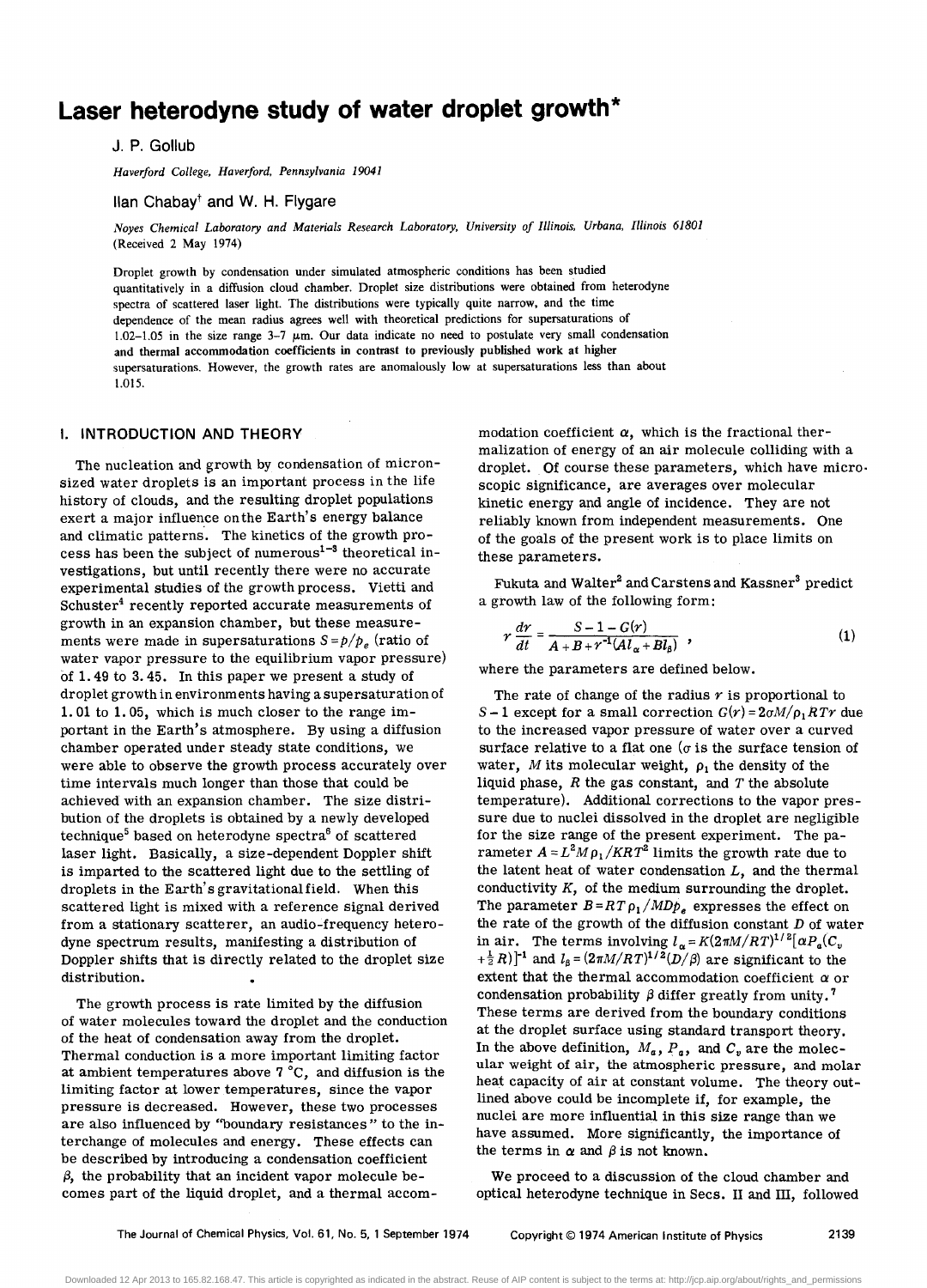## **Laser heterodyne study of water droplet growth \***

J. P. Gollub

*Haverford College. Haverford. Pennsylvania 19041* 

 $\text{I}$ llan Chabay<sup>†</sup> and W. H. Flygare

*Noyes Chemical Laboratory and Materials Research Laboratory. University of Illinois, Urbana, Illinois 61801*  (Received 2 May 1974)

Droplet growth by condensation under simulated atmospheric conditions has been studied quantitatively in a diffusion cloud chamber. Droplet size distributions were obtained from heterodyne spectra of scattered laser light. The distributions were typically quite narrow, and the time dependence of the mean radius agrees well with theoretical predictions for supersaturations of  $1.02-1.05$  in the size range 3-7  $\mu$ m. Our data indicate no need to postulate very small condensation and thermal accommodation coefficients in contrast to previously published work at higher supersaturations. However, the growth rates are anomalously low at supersaturations less than about 1.015.

#### **I. INTRODUCTION AND THEORY**

The nucleation and growth by condensation of micronsized water droplets is an important process in the life history of clouds, and the resulting droplet populations exert a major influence onthe Earth's energy balance and climatic patterns. The kinetics of the growth process has been the subject of numerous<sup>1-3</sup> theoretical investigations, but until recently there were no accurate experimental studies of the growth process. Vietti and Schuster<sup>4</sup> recently reported accurate measurements of growth in an expansion chamber, but these measurements were made in supersaturations  $S = p/p_e$  (ratio of water vapor pressure to the equilibrium vapor pressure) of 1. 49 to 3.45. In this paper we present a study of droplet growth in environments having a supersaturation of 1. 01 to 1. 05, which is much closer to the range important in the Earth's atmosphere. By using a diffusion chamber operated under steady state conditions, we were able to observe the growth process accurately over time intervals much longer than those that could be achieved with an expansion chamber. The size distribution of the droplets is obtained by a newly developed technique<sup>5</sup> based on heterodyne spectra<sup>6</sup> of scattered laser light. Basically, a size-dependent Doppler shift is imparted to the scattered light due to the settling of droplets in the Earth's gravitationalfield. When this scattered light is mixed with a reference signal derived from a stationary scatterer, an audio-frequency heterodyne spectrum results, manifesting a distribution of Doppler shifts that is directly related to the droplet size distribution.

The growth process is rate limited by the diffusion of water molecules toward the droplet and the conduction of the heat of condensation away from the droplet. Thermal conduction is a more important limiting factor at ambient temperatures above 7°C, and diffusion is the limiting factor at lower temperatures, since the vapor pressure is decreased. However, these two processes are also influenced by ''boundary resistances" to the interchange of molecules and energy. These effects can be described by introducing a condensation coefficient  $\beta$ , the probability that an incident vapor molecule becomes part of the liquid droplet, and a thermal accom-

modation coefficient  $\alpha$ , which is the fractional thermalization of energy of an air molecule colliding with a droplet. Of course these parameters, which have micro· scopic Significance, are averages over molecular kinetic energy and angle of incidence. They are not reliably known from independent measurements. One of the goals of the present work is to place limits on these parameters.

Fukuta and Walter<sup>2</sup> and Carstens and Kassner<sup>3</sup> predict a growth law of the following form:

$$
r\frac{dr}{dt} = \frac{S-1-G(r)}{A+B+r^{-1}(Al_{\alpha}+Bl_{\beta})},
$$
\n(1)

where the parameters are defined below.

The rate of change of the radius  $r$  is proportional to *S* – 1 except for a small correction  $G(r) = 2\sigma M/\rho_1 RTr$  due to the increased vapor pressure of water over a curved surface relative to a flat one ( $\sigma$  is the surface tension of water,  $M$  its molecular weight,  $\rho_1$  the density of the liquid phase, *R* the gas constant, and *T* the absolute temperature). Additional corrections to the vapor pressure due to nuclei dissolved in the droplet are negligible for the size range of the present experiment. The parameter  $A = L^2 M \rho_1 / K R T^2$  limits the growth rate due to the latent heat of water condensation  $L$ , and the thermal conductivity K, of the medium surrounding the droplet. The parameter  $B = RT \rho_1 / MD \rho_s$  expresses the effect on the rate of the growth of the diffusion constant  $D$  of water in air. The terms involving  $l_{\alpha} = K(2\pi M/RT)^{1/2} [\alpha P_{\alpha}(C_{\nu})]$  $+\frac{1}{2}R$ )]<sup>-1</sup> and  $l_8 = (2\pi M/RT)^{1/2}(D/\beta)$  are significant to the extent that the thermal accommodation coefficient *a* or condensation probability  $\beta$  differ greatly from unity.<sup>7</sup> These terms are derived from the boundary conditions at the droplet surface using standard transport theory. In the above definition,  $M_a$ ,  $P_a$ , and  $C_v$  are the molecular weight of air, the atmospheric pressure, and molar heat capacity of air at constant volume. The theory outlined above could be incomplete if, for example, the nuclei are more influential in this size range than we have assumed. More significantly, the importance of the terms in  $\alpha$  and  $\beta$  is not known.

We proceed to a discussion of the cloud chamber and optical heterodyne technique in Secs. II and III, followed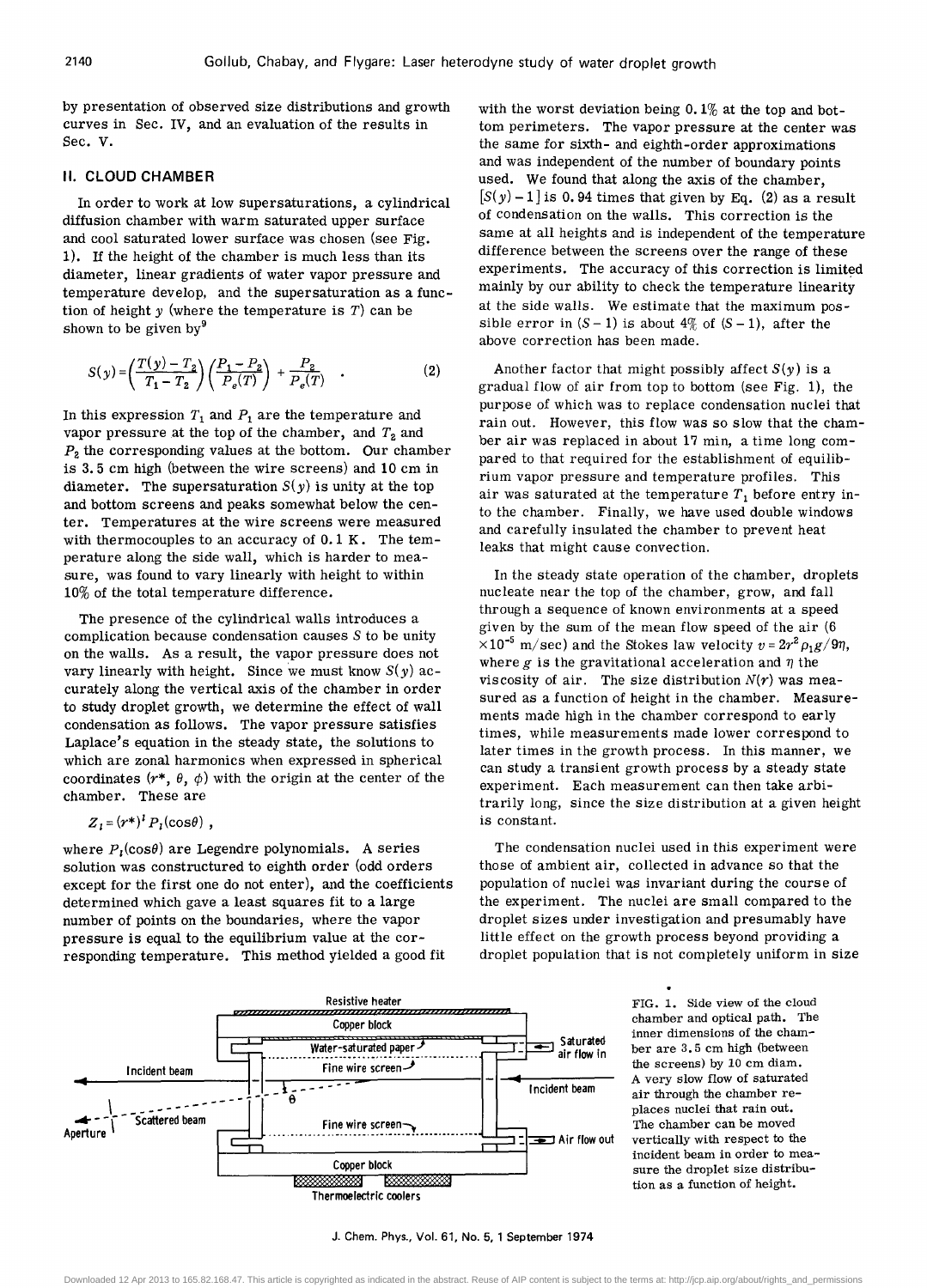by presentation of observed size distributions and growth curves in Sec. IV, and an evaluation of the results in Sec. V.

#### **II. CLOUD CHAMBER**

In order to work at low supersaturations, a cylindrical diffusion chamber with warm saturated upper surface and cool saturated lower surface was chosen (see Fig. 1). If the height of the chamber is much less than its diameter, linear gradients of water vapor pressure and temperature develop, and the supersaturation as a function of height *y* (where the temperature is T) can be shown to be given by $9$ 

$$
S(y) = \left(\frac{T(y) - T_2}{T_1 - T_2}\right) \left(\frac{P_1 - P_2}{P_e(T)}\right) + \frac{P_2}{P_e(T)}.
$$
 (2)

In this expression  $T_1$  and  $P_1$  are the temperature and vapor pressure at the top of the chamber, and  $T_2$  and P*2* the corresponding values at the bottom. Our chamber is 3.5 cm high (between the wire screens) and 10 cm in diameter. The supersaturation  $S(\gamma)$  is unity at the top and bottom screens and peaks somewhat below the center. Temperatures at the wire screens were measured with thermocouples to an accuracy of 0.1 K. The temperature along the side wall, which is harder to measure, was found to vary linearly with height to within 10% of the total temperature difference.

The presence of the cylindrical walls introduces a complication because condensation causes 5 to be unity on the walls. As a result, the vapor pressure does not vary linearly with height. Since we must know  $S(y)$  accurately along the vertical axis of the chamber in order to study droplet growth, we determine the effect of wall condensation as follows. The vapor pressure satisfies Laplace's equation in the steady state, the solutions to which are zonal harmonics when expressed in spherical coordinates  $(r^*, \theta, \phi)$  with the origin at the center of the chamber. These are

 $Z_i = (r^*)^i P_i(\cos\theta)$ ,

where  $P_1(\cos\theta)$  are Legendre polynomials. A series solution was constructured to eighth order (odd orders except for the first one do not enter), and the coefficients determined which gave a least squares fit to a large number of points on the boundaries, where the vapor pressure is equal to the equilibrium value at the corresponding temperature, This method yielded a good fit

with the worst deviation being  $0.1\%$  at the top and bottom perimeters. The vapor pressure at the center was the same for sixth- and eighth-order approximations and was independent of the number of boundary points used. We found that along the axis of the chamber,  $[S(y)-1]$  is 0.94 times that given by Eq. (2) as a result of condensation on the walls. This correction is the same at all heights and is independent of the temperature difference between the screens over the range of these experiments. The accuracy of this correction is limited mainly by our ability to check the temperature linearity at the side walls. We estimate that the maximum possible error in  $(S - 1)$  is about  $4\%$  of  $(S - 1)$ , after the above correction has been made.

Another factor that might possibly affect  $S(y)$  is a gradual flow of air from top to bottom (see Fig. 1), the purpose of which was to replace condensation nuclei that rain out. However, this flow was so slow that the chamber air was replaced in about 17 min, a time long compared to that required for the establishment of equilibrium vapor pressure and temperature profiles. This air was saturated at the temperature  $T_1$  before entry into the chamber. Finally, we have used double windows and carefully insulated the chamber to prevent heat leaks that might cause convection.

In the steady state operation of the chamber, droplets nucleate near the top of the chamber, grow, and fall through a sequence of known environments at a speed given by the sum of the mean flow speed of the air (6  $\times 10^{-5}$  m/sec) and the Stokes law velocity  $v=2r^2 \rho_1 g/9\eta$ , where  $g$  is the gravitational acceleration and  $\eta$  the viscosity of air. The size distribution  $N(r)$  was measured as a function of height in the chamber. Measurements made high in the chamber correspond to early times, while measurements made lower correspond to later times in the growth process. In this manner, we can study a transient growth process by a steady state experiment. Each measurement can then take arbitrarily long, since the size distribution at a given height is constant.

The condensation nuclei used in this experiment were those of ambient air, collected in advance so that the population of nuclei was invariant during the course of the experiment. The nuclei are small compared to the droplet sizes under investigation and presumably have little effect on the growth process beyond providing a droplet population that is not completely uniform in size



FIG. 1. Side view of the cloud chamber and optical path. The inner dimensions of the chamber are 3. 5 cm high (between the screens) by 10 cm diam. A very slow flow of saturated air through the chamber replaces nuclei that rain out. The chamber can be moved vertically with respect to the incident beam in order to measure the droplet size distribution as a function of height.

J. Chern. Phys., Vol. 61, No.5, 1 September 1974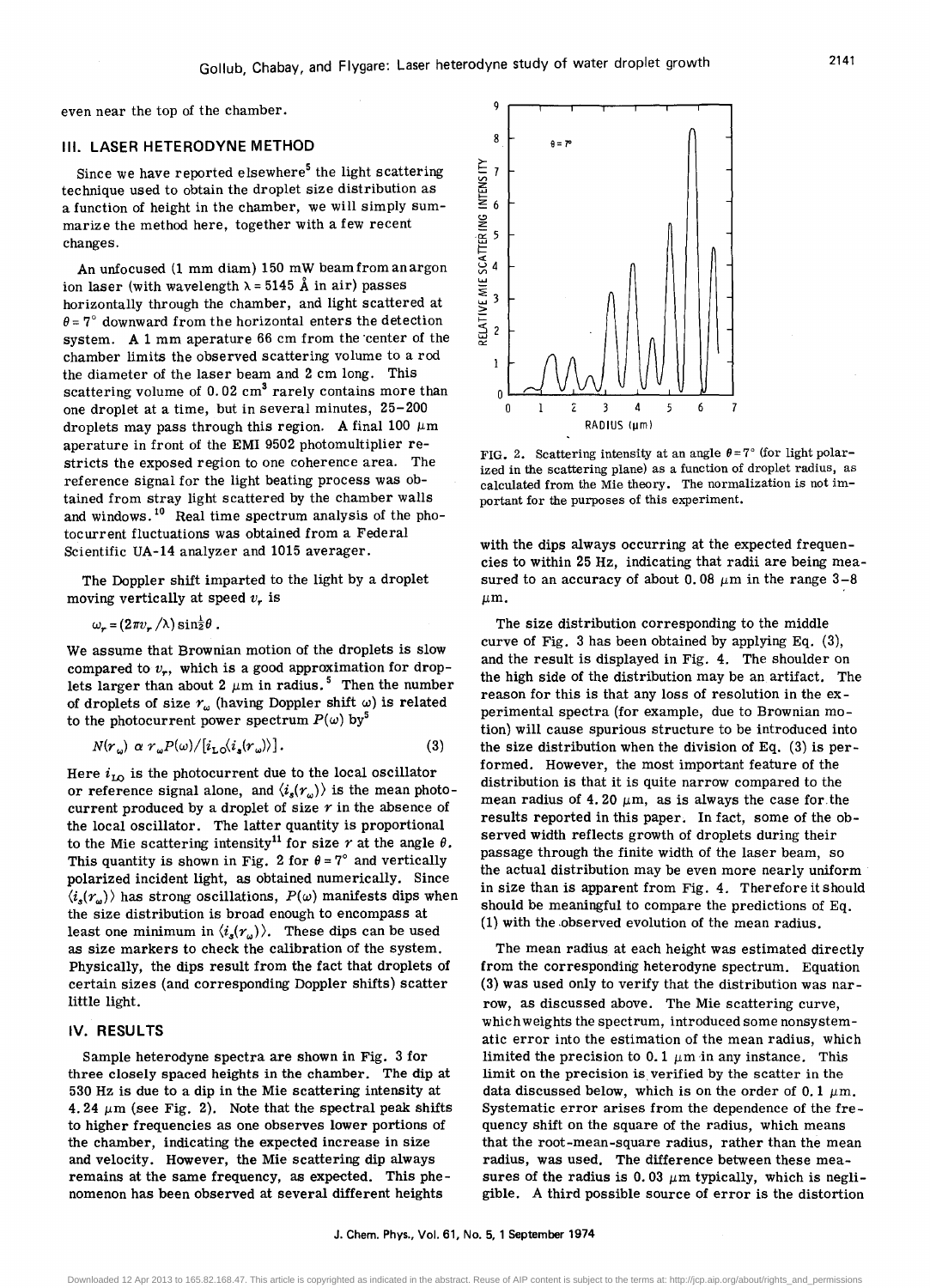even near the top of the chamber.

#### III. **LASER HETERODYNE METHOD**

Since we have reported elsewhere<sup>5</sup> the light scattering technique used to obtain the droplet size distribution as a function of height in the chamber, we will simply summarize the method here, together with a few recent changes.

An unfocused (1 mm diam) 150 mW beam from an argon ion laser (with wavelength  $\lambda = 5145$  Å in air) passes horizontally through the chamber, and light scattered at  $\theta$  = 7° downward from the horizontal enters the detection system. A 1 mm aperature 66 cm from the 'center of the chamber limits the observed scattering volume to a rod the diameter of the laser beam and 2 cm long. This scattering volume of  $0.02 \text{ cm}^3$  rarely contains more than one droplet at a time, but in several minutes, 25-200 droplets may pass through this region. A final 100  $\mu$ m aperature in front of the EMI 9502 photomultiplier restricts the exposed region to one coherence area. The reference signal for the light beating process was obtained from stray light scattered by the chamber walls and windows. 10 Real time spectrum analysis of the photocurrent fluctuations was obtained from a Federal Scientific UA-14 analyzer and 1015 averager.

The Doppler shift imparted to the light by a droplet moving vertically at speed  $v_r$  is

$$
\omega_r = (2\pi v_r / \lambda) \sin^{\frac{1}{2}}\theta.
$$

We assume that Brownian motion of the droplets is slow compared to  $v_r$ , which is a good approximation for droplets larger than about 2  $\mu$ m in radius.<sup>5</sup> Then the number of droplets of size  $r_{\omega}$  (having Doppler shift  $\omega$ ) is related to the photocurrent power spectrum  $P(\omega)$  by<sup>5</sup>

$$
N(r_{\omega}) \alpha r_{\omega} P(\omega) / [i_{\text{LO}} \langle i_{\text{s}} (r_{\omega}) \rangle]. \tag{3}
$$

Here  $i_{\text{LO}}$  is the photocurrent due to the local oscillator or reference signal alone, and  $\langle i_s(r_\omega)\rangle$  is the mean photocurrent produced by a droplet of size  $r$  in the absence of the local oscillator. The latter quantity is proportional to the Mie scattering intensity<sup>11</sup> for size  $r$  at the angle  $\theta$ . This quantity is shown in Fig. 2 for  $\theta = 7^\circ$  and vertically polarized incident light, as obtained numerically. Since  $\langle i_{s}(r_{n})\rangle$  has strong oscillations,  $P(\omega)$  manifests dips when the size distribution is broad enough to encompass at least one minimum in  $\langle i_s(r_\omega) \rangle$ . These dips can be used as size markers to check the calibration of the system. Physically, the dips result from the fact that droplets of certain sizes (and corresponding Doppler shifts) scatter little light.

#### IV. **RESULTS**

Sample heterodyne spectra are shown in Fig. 3 for three closely spaced heights in the chamber. The dip at 530 Hz is due to a dip in the Mie scattering intensity at 4.24  $\mu$ m (see Fig. 2). Note that the spectral peak shifts to higher frequencies as one observes lower portions of the chamber, indicating the expected increase in size and velocity. However, the Mie scattering dip always remains at the same frequency, as expected. This phenomenon has been observed at several different heights



FIG. 2. Scattering intensity at an angle  $\theta = 7^{\circ}$  (for light polarized in the scattering plane) as a function of droplet radius, as calculated from the Mie theory. The normalization is not important for the purposes of this experiment.

with the dips always occurring at the expected frequencies to within 25 Hz, indicating that radii are being measured to an accuracy of about 0.08  $\mu$ m in the range 3-8  $\mu$ m.

The size distribution corresponding to the middle curve of Fig. 3 has been obtained by applying Eq. (3), and the result is displayed in Fig. 4. The shoulder on the high side of the distribution may be an artifact. The reason for this is that any loss of resolution in the experimental spectra (for example, due to Brownian motion) will cause spurious structure to be introduced into the size distribution when the division of Eq. (3) is performed. However, the most important feature of the distribution is that it is quite narrow compared to the mean radius of 4.20  $\mu$ m, as is always the case for the results reported in this paper. In fact, some of the observed width reflects growth of droplets during their passage through the finite width of the laser beam, so the actual distribution may be even more nearly uniform in size than is apparent from Fig. 4. Therefore it should should be meaningful to compare the predictions of Eq. (1) with the .observed evolution of the mean radius.

The mean radius at each height was estimated directly from the corresponding heterodyne spectrum. Equation (3) was used only to verify that the distribution was narrow, as discussed above. The Mie scattering curve, which weights the spectrum, introduced some nonsystematic error into the estimation of the mean radius, which limited the precision to 0.1  $\mu$ m in any instance. This limit on the precision is verified by the scatter in the data discussed below, which is on the order of 0.1  $\mu$ m. Systematic error arises from the dependence of the frequency shift on the square of the radius, which means that the root-mean-square radius, rather than the mean radius, was used. The difference between these measures of the radius is 0.03  $\mu$ m typically, which is negligible. A third possible SOurce of error is the distortion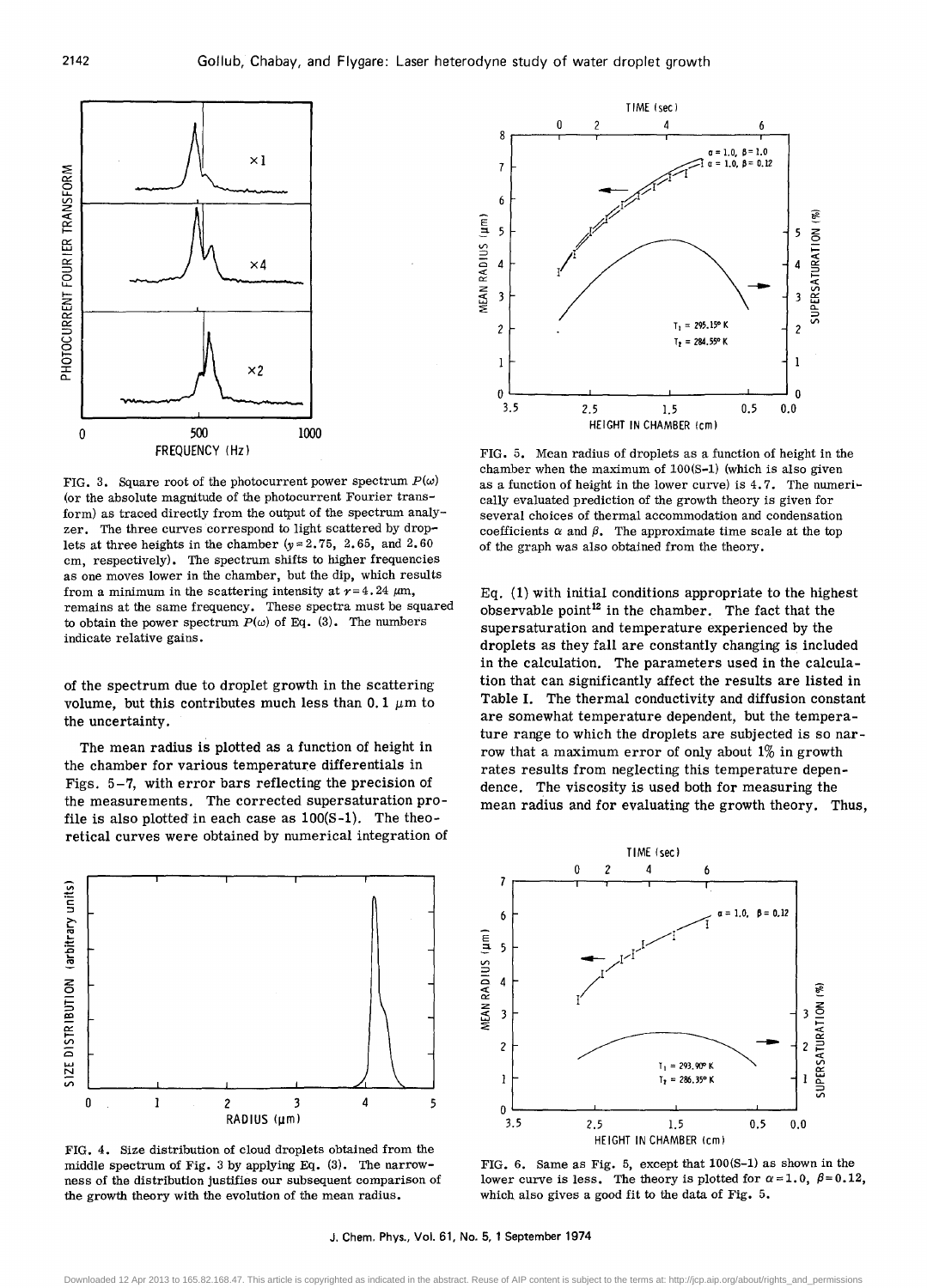

FIG. 3. Square root of the photocurrent power spectrum  $P(\omega)$ (or the absolute magnitude of the photocurrent Fourier transform) as traced directly from the output of the spectrum analyzer. The three curves correspond to light scattered by droplets at three heights in the chamber ( $y = 2.75$ , 2.65, and 2.60 cm, respectively). The spectrum shifts to higher frequencies as one moves lower in the chamber, but the dip, which results from a minimum in the scattering intensity at  $r=4.24 \mu m$ , remains at the same frequency. These spectra must be squared to obtain the power spectrum  $P(\omega)$  of Eq. (3). The numbers indicate relative gains.

of the spectrum due to droplet growth in the scattering volume, but this contributes much less than 0.1  $\mu$ m to the uncertainty.

The mean radius is plotted as a function of height in the chamber for various temperature differentials in Figs. 5-7, with error bars reflecting the precision of the measurements. The corrected supersaturation profile is also plotted in each case as 100(8-1). The theoretical curves were obtained by numerical integration of



FIG. 4. 8ize distribution of cloud droplets obtained from the middle spectrum of Fig. 3 by applying Eq. (3). The narrowness of the distribution justifies our subsequent comparison of the growth theory with the evolution of the mean radius.



FIG. 5. Mean radius of droplets as a function of height in the chamber when the maximum of 100(8-1) (which is also given as a function of height in the lower curve) is 4.7. The numerically evaluated prediction of the growth theory is given for several choices of thermal accommodation and condensation coefficients  $\alpha$  and  $\beta$ . The approximate time scale at the top of the graph was also obtained from the theory.

Eq. (1) with initial conditions appropriate to the highest observable point<sup>12</sup> in the chamber. The fact that the supersaturation and temperature experienced by the droplets as they fall are constantly changing is included in the calculation. The parameters used in the calculation that can significantly affect the results are listed in Table I. The thermal conductivity and diffusion constant are somewhat temperature dependent, but the temperature range to which the droplets are subjected is so narrow that a maximum error of only about  $1\%$  in growth rates results from neglecting this temperature dependence. The viscosity is used both for measuring the mean radius and for evaluating the growth theory. Thus,



FIG. 6. 8ame as Fig. 5, except that 100(8-1) as shown in the lower curve is less. The theory is plotted for  $\alpha=1.0$ ,  $\beta=0.12$ , which also gives a good fit to the data of Fig. 5.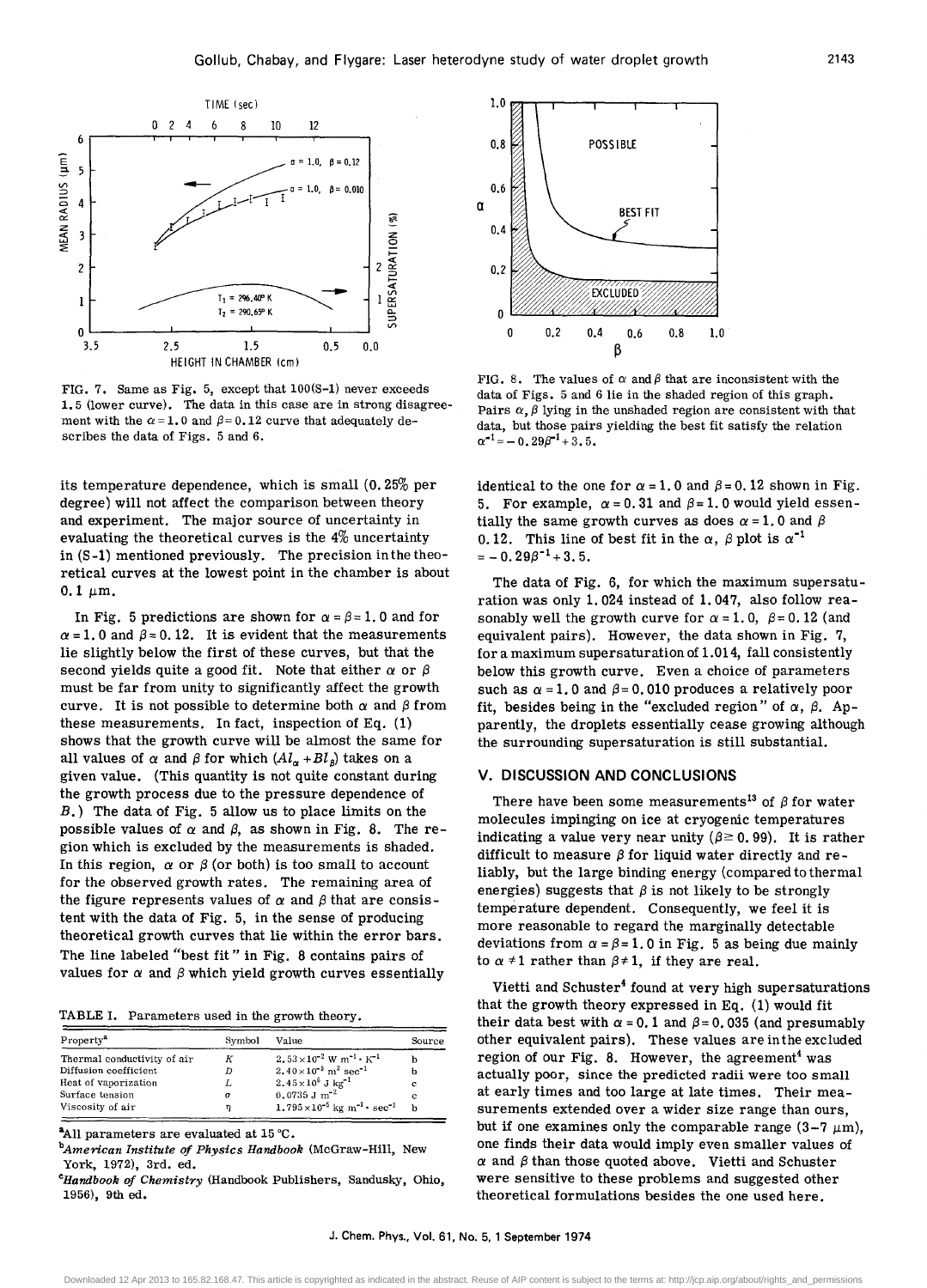

FIG. 7. Same as Fig. 5, except that 100(S-1) never exceeds 1. 5 (lower curve). The data in this case are in strong disagreement with the  $\alpha = 1.0$  and  $\beta = 0.12$  curve that adequately describes the data of Figs. 5 and 6.

its temperature dependence, which is small (0.25% per degree) will not affect the comparison between theory and experiment. The major source of uncertainty in evaluating the theoretical curves is the 4% uncertainty in (S -1) mentioned previously. The precision in the theoretical curves at the lowest point in the chamber is about  $0.1 \mu m$ .

In Fig. 5 predictions are shown for  $\alpha = \beta = 1.0$  and for  $\alpha$  = 1. 0 and  $\beta$  = 0.12. It is evident that the measurements lie slightly below the first of these curves, but that the second yields quite a good fit. Note that either  $\alpha$  or  $\beta$ must be far from unity to significantly affect the growth curve. It is not possible to determine both  $\alpha$  and  $\beta$  from these measurements. In fact, inspection of Eq. (1) shows that the growth curve will be almost the same for all values of  $\alpha$  and  $\beta$  for which  $(Al_{\alpha} + Bl_{\beta})$  takes on a given value. (This quantity is not quite constant during the growth process due to the pressure dependence of B.) The data of Fig. 5 allow us to place limits on the possible values of  $\alpha$  and  $\beta$ , as shown in Fig. 8. The region which is excluded by the measurements is shaded. In this region,  $\alpha$  or  $\beta$  (or both) is too small to account for the observed growth rates. The remaining area of the figure represents values of  $\alpha$  and  $\beta$  that are consistent with the data of Fig. 5, in the sense of producing theoretical growth curves that lie within the error bars. The line labeled "best fit" in Fig. 8 contains pairs of values for  $\alpha$  and  $\beta$  which yield growth curves essentially

TABLE I. Parameters used in the growth theory.

| Property <sup>a</sup>       | Symbol | Value                                                           | Source |
|-----------------------------|--------|-----------------------------------------------------------------|--------|
| Thermal conductivity of air | К      | $2.53 \times 10^{-2}$ W m <sup>-1</sup> $\cdot$ K <sup>-1</sup> |        |
| Diffusion coefficient       | D      | $2.40\times10^{-5}$ m <sup>2</sup> sec <sup>-1</sup>            | n      |
| Heat of vaporization        |        | $2.45 \times 10^6$ J kg <sup>-1</sup>                           | е      |
| Surface tension             | σ      | $0.0735$ J m <sup>-2</sup>                                      | c      |
| Viscosity of air            | η      | $1.795 \times 10^{-5}$ kg m <sup>-1</sup> · sec <sup>-1</sup>   |        |

<sup>a</sup>All parameters are evaluated at 15 °C.

*bAmerican Institute of Physics Handbook* (McGraw-Hill, New York, 1972), 3rd. ed.

*CHandbook of Chemistry* (Handbook Publishers, Sandusky, Ohio, 1956), 9th ed.



FIG. 8. The values of  $\alpha$  and  $\beta$  that are inconsistent with the data of Figs. 5 and 6 lie in the shaded region of this graph. Pairs  $\alpha$ ,  $\beta$  lying in the unshaded region are consistent with that data, but those pairs yielding the best fit satisfy the relation  $\alpha^{-1} = -0.29\beta^{-1} + 3.5.$ 

identical to the one for  $\alpha = 1.0$  and  $\beta = 0.12$  shown in Fig. 5. For example,  $\alpha = 0.31$  and  $\beta = 1.0$  would yield essentially the same growth curves as does  $\alpha = 1$ . 0 and  $\beta$ 0.12. This line of best fit in the  $\alpha$ ,  $\beta$  plot is  $\alpha^{-1}$  $=-0.29\beta^{-1}+3.5.$ 

The data of Fig. 6, for which the maximum supersaturation was only 1. 024 instead of 1. 047, also follow reasonably well the growth curve for  $\alpha = 1$ . 0,  $\beta = 0.12$  (and equivalent pairs). However, the data shown in Fig. 7, for a maximum supersaturation of  $1.014$ , fall consistently below this growth curve. Even a choice of parameters such as  $\alpha = 1.0$  and  $\beta = 0.010$  produces a relatively poor fit, besides being in the "excluded region" of  $\alpha$ ,  $\beta$ . Apparently, the droplets essentially cease growing although the surrounding supersaturation is still substantial.

#### V. DISCUSSION AND CONCLUSIONS

There have been some measurements<sup>13</sup> of  $\beta$  for water molecules impinging on ice at cryogenic temperatures indicating a value very near unity ( $\beta \ge 0.99$ ). It is rather difficult to measure  $\beta$  for liquid water directly and reliably, but the large binding energy (compared to thermal energies) suggests that  $\beta$  is not likely to be strongly temperature dependent. Consequently, we feel it is more reasonable to regard the marginally detectable deviations from  $\alpha = \beta = 1.0$  in Fig. 5 as being due mainly to  $\alpha \neq 1$  rather than  $\beta \neq 1$ , if they are real.

Vietti and Schuster<sup>4</sup> found at very high supersaturations that the growth theory expressed in Eq. (1) would fit their data best with  $\alpha = 0.1$  and  $\beta = 0.035$  (and presumably other equivalent pairs). These values are inthe excluded region of our Fig. 8. However, the agreement<sup>4</sup> was actually poor, since the predicted radii were too small at early times and too large at late times. Their measurements extended over a wider size range than ours, but if one examines only the comparable range  $(3-7 \mu m)$ , one finds their data would imply even smaller values of  $\alpha$  and  $\beta$  than those quoted above. Vietti and Schuster were sensitive to these problems and suggested other theoretical formulations besides the one used here.